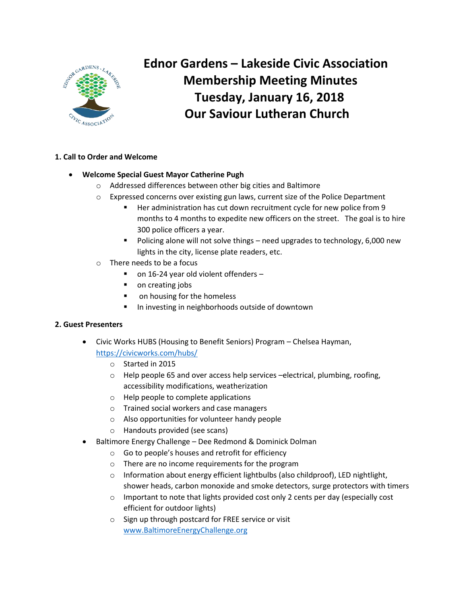

# **Ednor Gardens – Lakeside Civic Association Membership Meeting Minutes Tuesday, January 16, 2018 Our Saviour Lutheran Church**

# **1. Call to Order and Welcome**

# **Welcome Special Guest Mayor Catherine Pugh**

- o Addressed differences between other big cities and Baltimore
- o Expressed concerns over existing gun laws, current size of the Police Department
	- Her administration has cut down recruitment cycle for new police from 9 months to 4 months to expedite new officers on the street. The goal is to hire 300 police officers a year.
	- Policing alone will not solve things need upgrades to technology, 6,000 new lights in the city, license plate readers, etc.
- o There needs to be a focus
	- on 16-24 year old violent offenders –
	- on creating jobs
	- on housing for the homeless
	- In investing in neighborhoods outside of downtown

## **2. Guest Presenters**

- Civic Works HUBS (Housing to Benefit Seniors) Program Chelsea Hayman, <https://civicworks.com/hubs/>
	- o Started in 2015
	- $\circ$  Help people 65 and over access help services –electrical, plumbing, roofing, accessibility modifications, weatherization
	- o Help people to complete applications
	- o Trained social workers and case managers
	- o Also opportunities for volunteer handy people
	- o Handouts provided (see scans)
- Baltimore Energy Challenge Dee Redmond & Dominick Dolman
	- o Go to people's houses and retrofit for efficiency
	- o There are no income requirements for the program
	- $\circ$  Information about energy efficient lightbulbs (also childproof), LED nightlight, shower heads, carbon monoxide and smoke detectors, surge protectors with timers
	- o Important to note that lights provided cost only 2 cents per day (especially cost efficient for outdoor lights)
	- o Sign up through postcard for FREE service or visit [www.BaltimoreEnergyChallenge.org](http://www.baltimoreenergychallenge.org/)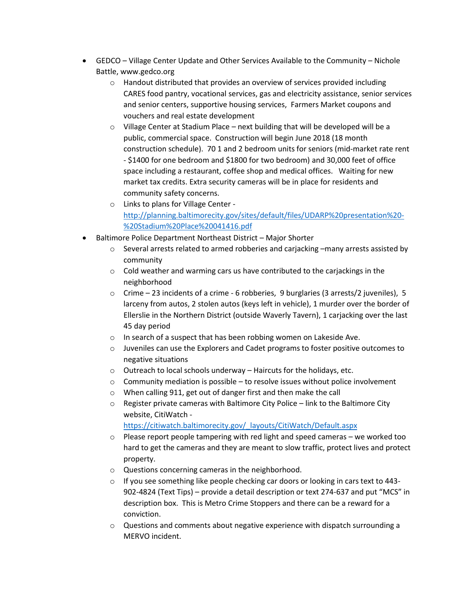- GEDCO Village Center Update and Other Services Available to the Community Nichole Battle, www.gedco.org
	- o Handout distributed that provides an overview of services provided including CARES food pantry, vocational services, gas and electricity assistance, senior services and senior centers, supportive housing services, Farmers Market coupons and vouchers and real estate development
	- $\circ$  Village Center at Stadium Place next building that will be developed will be a public, commercial space. Construction will begin June 2018 (18 month construction schedule). 70 1 and 2 bedroom units for seniors (mid-market rate rent - \$1400 for one bedroom and \$1800 for two bedroom) and 30,000 feet of office space including a restaurant, coffee shop and medical offices. Waiting for new market tax credits. Extra security cameras will be in place for residents and community safety concerns.
	- o Links to plans for Village Center [http://planning.baltimorecity.gov/sites/default/files/UDARP%20presentation%20-](http://planning.baltimorecity.gov/sites/default/files/UDARP%20presentation%20-%20Stadium%20Place%20041416.pdf) [%20Stadium%20Place%20041416.pdf](http://planning.baltimorecity.gov/sites/default/files/UDARP%20presentation%20-%20Stadium%20Place%20041416.pdf)
- Baltimore Police Department Northeast District Major Shorter
	- o Several arrests related to armed robberies and carjacking –many arrests assisted by community
	- o Cold weather and warming cars us have contributed to the carjackings in the neighborhood
	- $\circ$  Crime 23 incidents of a crime 6 robberies, 9 burglaries (3 arrests/2 juveniles), 5 larceny from autos, 2 stolen autos (keys left in vehicle), 1 murder over the border of Ellerslie in the Northern District (outside Waverly Tavern), 1 carjacking over the last 45 day period
	- o In search of a suspect that has been robbing women on Lakeside Ave.
	- o Juveniles can use the Explorers and Cadet programs to foster positive outcomes to negative situations
	- o Outreach to local schools underway Haircuts for the holidays, etc.
	- $\circ$  Community mediation is possible to resolve issues without police involvement
	- o When calling 911, get out of danger first and then make the call
	- o Register private cameras with Baltimore City Police link to the Baltimore City website, CitiWatch -

[https://citiwatch.baltimorecity.gov/\\_layouts/CitiWatch/Default.aspx](https://citiwatch.baltimorecity.gov/_layouts/CitiWatch/Default.aspx)

- $\circ$  Please report people tampering with red light and speed cameras we worked too hard to get the cameras and they are meant to slow traffic, protect lives and protect property.
- o Questions concerning cameras in the neighborhood.
- $\circ$  If you see something like people checking car doors or looking in cars text to 443-902-4824 (Text Tips) – provide a detail description or text 274-637 and put "MCS" in description box. This is Metro Crime Stoppers and there can be a reward for a conviction.
- $\circ$  Questions and comments about negative experience with dispatch surrounding a MERVO incident.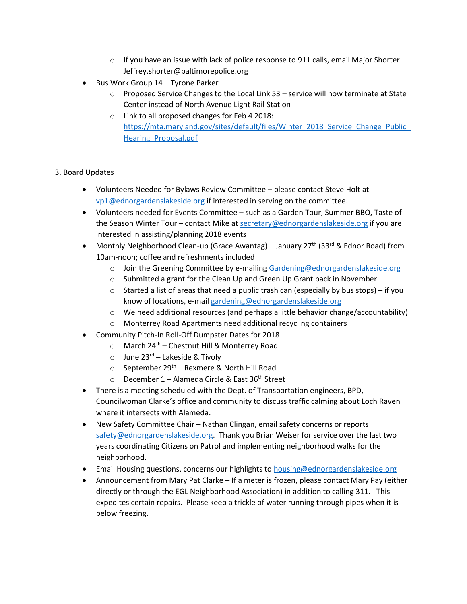- $\circ$  If you have an issue with lack of police response to 911 calls, email Major Shorter Jeffrey.shorter@baltimorepolice.org
- Bus Work Group 14 Tyrone Parker
	- $\circ$  Proposed Service Changes to the Local Link 53 service will now terminate at State Center instead of North Avenue Light Rail Station
	- o Link to all proposed changes for Feb 4 2018: [https://mta.maryland.gov/sites/default/files/Winter\\_2018\\_Service\\_Change\\_Public\\_](https://mta.maryland.gov/sites/default/files/Winter_2018_Service_Change_Public_Hearing_Proposal.pdf) Hearing Proposal.pdf

## 3. Board Updates

- Volunteers Needed for Bylaws Review Committee please contact Steve Holt at [vp1@ednorgardenslakeside.org](mailto:vp1@ednorgardenslakeside.org) if interested in serving on the committee.
- Volunteers needed for Events Committee such as a Garden Tour, Summer BBQ, Taste of the Season Winter Tour – contact Mike a[t secretary@ednorgardenslakeside.org](mailto:secretary@ednorgardenslakeside.org) if you are interested in assisting/planning 2018 events
- Monthly Neighborhood Clean-up (Grace Awantag) January 27<sup>th</sup> (33<sup>rd</sup> & Ednor Road) from 10am-noon; coffee and refreshments included
	- o Join the Greening Committee by e-mailin[g Gardening@ednorgardenslakeside.org](mailto:Gardening@ednorgardenslakeside.org)
	- $\circ$  Submitted a grant for the Clean Up and Green Up Grant back in November
	- $\circ$  Started a list of areas that need a public trash can (especially by bus stops) if you know of locations, e-mai[l gardening@ednorgardenslakeside.org](mailto:gardening@ednorgardenslakeside.org)
	- $\circ$  We need additional resources (and perhaps a little behavior change/accountability)
	- o Monterrey Road Apartments need additional recycling containers
- Community Pitch-In Roll-Off Dumpster Dates for 2018
	- $\circ$  March 24<sup>th</sup> Chestnut Hill & Monterrey Road
	- $\circ$  June 23<sup>rd</sup> Lakeside & Tivoly
	- $\circ$  September 29<sup>th</sup> Rexmere & North Hill Road
	- $\circ$  December 1 Alameda Circle & East 36<sup>th</sup> Street
- There is a meeting scheduled with the Dept. of Transportation engineers, BPD, Councilwoman Clarke's office and community to discuss traffic calming about Loch Raven where it intersects with Alameda.
- New Safety Committee Chair Nathan Clingan, email safety concerns or reports [safety@ednorgardenslakeside.org.](mailto:safety@ednorgardenslakeside.org) Thank you Brian Weiser for service over the last two years coordinating Citizens on Patrol and implementing neighborhood walks for the neighborhood.
- Email Housing questions, concerns our highlights t[o housing@ednorgardenslakeside.org](mailto:housing@ednorgardenslakeside.org)
- Announcement from Mary Pat Clarke If a meter is frozen, please contact Mary Pay (either directly or through the EGL Neighborhood Association) in addition to calling 311. This expedites certain repairs. Please keep a trickle of water running through pipes when it is below freezing.